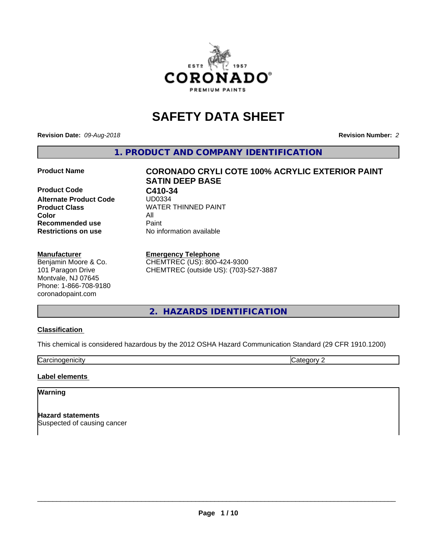

# **SAFETY DATA SHEET**

**Revision Date:** *09-Aug-2018* **Revision Number:** *2*

**1. PRODUCT AND COMPANY IDENTIFICATION**

**Product Code C410-34**<br>Alternate Product Code UD0334 **Alternate Product Code Color** All **Recommended use Caint Restrictions on use** No information available

#### **Manufacturer**

Benjamin Moore & Co. 101 Paragon Drive Montvale, NJ 07645 Phone: 1-866-708-9180 coronadopaint.com

# **Product Name CORONADO CRYLI COTE 100% ACRYLIC EXTERIOR PAINT SATIN DEEP BASE Product Class** WATER THINNED PAINT<br>
Color

**Emergency Telephone** CHEMTREC (US): 800-424-9300 CHEMTREC (outside US): (703)-527-3887

# **2. HAZARDS IDENTIFICATION**

#### **Classification**

This chemical is considered hazardous by the 2012 OSHA Hazard Communication Standard (29 CFR 1910.1200)

**Carcinogenicity** Category 2

#### **Label elements**

#### **Warning**

**Hazard statements** Suspected of causing cancer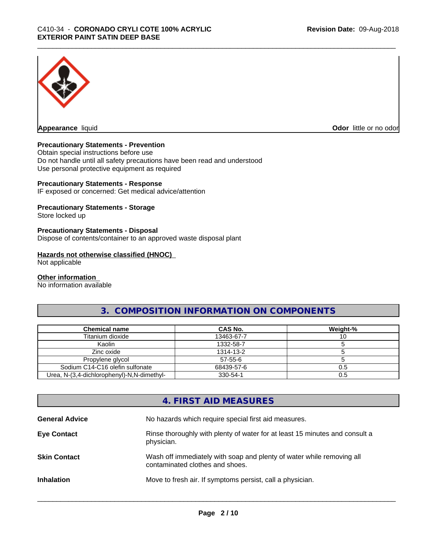

**Appearance** liquid

**Odor** little or no odor

#### **Precautionary Statements - Prevention**

Obtain special instructions before use Do not handle until all safety precautions have been read and understood Use personal protective equipment as required

#### **Precautionary Statements - Response**

IF exposed or concerned: Get medical advice/attention

#### **Precautionary Statements - Storage**

Store locked up

#### **Precautionary Statements - Disposal**

Dispose of contents/container to an approved waste disposal plant

#### **Hazards not otherwise classified (HNOC)**

Not applicable

#### **Other information**

No information available

# **3. COMPOSITION INFORMATION ON COMPONENTS**

| <b>Chemical name</b>                       | CAS No.       | Weight-% |
|--------------------------------------------|---------------|----------|
| Titanium dioxide                           | 13463-67-7    |          |
| Kaolin                                     | 1332-58-7     |          |
| Zinc oxide                                 | 1314-13-2     |          |
| Propylene glycol                           | $57 - 55 - 6$ |          |
| Sodium C14-C16 olefin sulfonate            | 68439-57-6    | 0.5      |
| Urea, N-(3,4-dichlorophenyl)-N,N-dimethyl- | 330-54-1      | 0.5      |

# **4. FIRST AID MEASURES**

| <b>General Advice</b> | No hazards which require special first aid measures.                                                     |
|-----------------------|----------------------------------------------------------------------------------------------------------|
| <b>Eye Contact</b>    | Rinse thoroughly with plenty of water for at least 15 minutes and consult a<br>physician.                |
| <b>Skin Contact</b>   | Wash off immediately with soap and plenty of water while removing all<br>contaminated clothes and shoes. |
| <b>Inhalation</b>     | Move to fresh air. If symptoms persist, call a physician.                                                |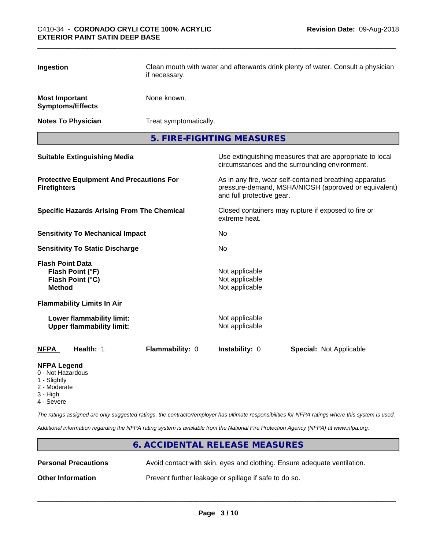| Ingestion                                |                                                               | if necessary.          | Clean mouth with water and afterwards drink plenty of water. Consult a physician |                                                                                                                 |  |  |
|------------------------------------------|---------------------------------------------------------------|------------------------|----------------------------------------------------------------------------------|-----------------------------------------------------------------------------------------------------------------|--|--|
| <b>Most Important</b>                    | <b>Symptoms/Effects</b>                                       | None known.            |                                                                                  |                                                                                                                 |  |  |
|                                          | <b>Notes To Physician</b>                                     | Treat symptomatically. |                                                                                  |                                                                                                                 |  |  |
|                                          |                                                               |                        | 5. FIRE-FIGHTING MEASURES                                                        |                                                                                                                 |  |  |
|                                          | <b>Suitable Extinguishing Media</b>                           |                        |                                                                                  | Use extinguishing measures that are appropriate to local<br>circumstances and the surrounding environment.      |  |  |
| <b>Firefighters</b>                      | <b>Protective Equipment And Precautions For</b>               |                        | and full protective gear.                                                        | As in any fire, wear self-contained breathing apparatus<br>pressure-demand, MSHA/NIOSH (approved or equivalent) |  |  |
|                                          | <b>Specific Hazards Arising From The Chemical</b>             |                        | extreme heat.                                                                    | Closed containers may rupture if exposed to fire or                                                             |  |  |
|                                          | <b>Sensitivity To Mechanical Impact</b>                       |                        | No.                                                                              |                                                                                                                 |  |  |
|                                          | <b>Sensitivity To Static Discharge</b>                        |                        | No                                                                               |                                                                                                                 |  |  |
| <b>Flash Point Data</b><br><b>Method</b> | Flash Point (°F)<br>Flash Point (°C)                          |                        | Not applicable<br>Not applicable<br>Not applicable                               |                                                                                                                 |  |  |
|                                          | <b>Flammability Limits In Air</b>                             |                        |                                                                                  |                                                                                                                 |  |  |
|                                          | Lower flammability limit:<br><b>Upper flammability limit:</b> |                        | Not applicable<br>Not applicable                                                 |                                                                                                                 |  |  |
| <b>NFPA</b>                              | Health: 1                                                     | Flammability: 0        | Instability: 0                                                                   | <b>Special: Not Applicable</b>                                                                                  |  |  |
| <b>NFPA Legend</b><br>0 Not Hazardous    |                                                               |                        |                                                                                  |                                                                                                                 |  |  |

- 0 Not Hazardous
- 1 Slightly
- 2 Moderate
- 3 High
- 4 Severe

*The ratings assigned are only suggested ratings, the contractor/employer has ultimate responsibilities for NFPA ratings where this system is used.*

*Additional information regarding the NFPA rating system is available from the National Fire Protection Agency (NFPA) at www.nfpa.org.*

# **6. ACCIDENTAL RELEASE MEASURES Personal Precautions** Avoid contact with skin, eyes and clothing. Ensure adequate ventilation. **Other Information** Prevent further leakage or spillage if safe to do so.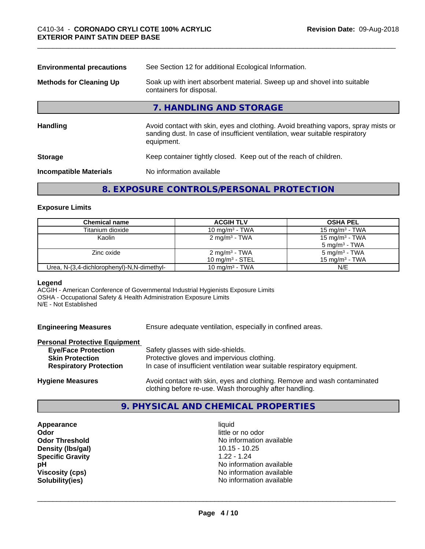| See Section 12 for additional Ecological Information.                                                                                                                            |  |  |
|----------------------------------------------------------------------------------------------------------------------------------------------------------------------------------|--|--|
| Soak up with inert absorbent material. Sweep up and shovel into suitable<br>containers for disposal.                                                                             |  |  |
| 7. HANDLING AND STORAGE                                                                                                                                                          |  |  |
| Avoid contact with skin, eyes and clothing. Avoid breathing vapors, spray mists or<br>sanding dust. In case of insufficient ventilation, wear suitable respiratory<br>equipment. |  |  |
| Keep container tightly closed. Keep out of the reach of children.                                                                                                                |  |  |
| No information available                                                                                                                                                         |  |  |
|                                                                                                                                                                                  |  |  |

## **8. EXPOSURE CONTROLS/PERSONAL PROTECTION**

#### **Exposure Limits**

| <b>Chemical name</b>                       | <b>ACGIH TLV</b>          | <b>OSHA PEL</b>            |
|--------------------------------------------|---------------------------|----------------------------|
| Titanium dioxide                           | 10 mg/m $3$ - TWA         | $15 \text{ mg/m}^3$ - TWA  |
| Kaolin                                     | 2 mg/m <sup>3</sup> - TWA | 15 mg/m <sup>3</sup> - TWA |
|                                            |                           | $5 \text{ mg/m}^3$ - TWA   |
| Zinc oxide                                 | 2 mg/m <sup>3</sup> - TWA | 5 mg/m <sup>3</sup> - TWA  |
|                                            | 10 mg/m $3$ - STEL        | 15 mg/m <sup>3</sup> - TWA |
| Urea, N-(3,4-dichlorophenyl)-N,N-dimethyl- | 10 mg/m $3$ - TWA         | N/E                        |

#### **Legend**

ACGIH - American Conference of Governmental Industrial Hygienists Exposure Limits OSHA - Occupational Safety & Health Administration Exposure Limits N/E - Not Established

| <b>Engineering Measures</b> | Ensure adequate ventilation, especially in confined areas. |
|-----------------------------|------------------------------------------------------------|
|                             |                                                            |

|  | <b>Personal Protective Equipment</b> |  |  |  |
|--|--------------------------------------|--|--|--|
|  |                                      |  |  |  |

| <b>Eye/Face Protection</b>    | Safety glasses with side-shields.                                        |
|-------------------------------|--------------------------------------------------------------------------|
| <b>Skin Protection</b>        | Protective gloves and impervious clothing.                               |
| <b>Respiratory Protection</b> | In case of insufficient ventilation wear suitable respiratory equipment. |
| .                             |                                                                          |

**Hygiene Measures** Avoid contact with skin, eyes and clothing. Remove and wash contaminated clothing before re-use. Wash thoroughly after handling.

### **9. PHYSICAL AND CHEMICAL PROPERTIES**

**Appearance** liquid **Odor Density (lbs/gal)** 10.15 - 10.25<br> **Specific Gravity** 1.22 - 1.24 **Specific Gravity** 

little or no odor **Odor Threshold** No information available **pH pH**  $\blacksquare$ **Viscosity (cps)** <br> **Viscosity (cps)** <br> **Solubility(ies)** <br> **Solubility(ies)** <br> **No** information available **Solubility(ies)** No information available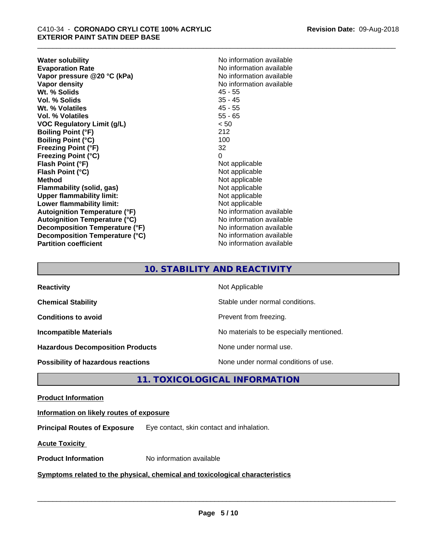**Water solubility**<br> **Evaporation Rate**<br> **Evaporation Rate**<br> **Evaporation Rate Vapor** pressure @20 °C (kPa) **Vapor density**<br> **We Solids**<br>
We Solid With the Solid Superior Contract Contract Assembly that the Microsoft Contract Assembly the Microsoft Contract Only No information available<br>
Microsoft Contract Assembly the Solid Sup **Wt. % Solids** 45 - 55<br> **Vol. % Solids** 35 - 45 **Vol. % Solids Wt. % Volatiles** 45 - 55 **Vol. % Volatiles** 55 - 65 **VOC Regulatory Limit (g/L)** < 50 **Boiling Point (°F)** 212 **Boiling Point (°C)** 100 **Freezing Point (°F)** 32 **Freezing Point (°C)** 0 **Flash Point (°F)**<br> **Flash Point (°C)**<br> **Flash Point (°C)**<br> **Point (°C) Flash Point (°C) Method**<br> **Flammability (solid, gas)**<br> **Example 2018** Not applicable **Flammability** (solid, gas) **Upper flammability limit:** Not applicable **Lower flammability limit:**<br> **Autoignition Temperature (°F)** Not applicable Not applicable **Autoignition Temperature (°F) Autoignition Temperature (°C)** No information available **Decomposition Temperature (°F)** No information available **Decomposition Temperature (°C)** No information available **Partition coefficient** No information available

No information available<br>No information available

# **10. STABILITY AND REACTIVITY**

| <b>Reactivity</b>                       | Not Applicable                           |
|-----------------------------------------|------------------------------------------|
| <b>Chemical Stability</b>               | Stable under normal conditions.          |
| <b>Conditions to avoid</b>              | Prevent from freezing.                   |
| <b>Incompatible Materials</b>           | No materials to be especially mentioned. |
| <b>Hazardous Decomposition Products</b> | None under normal use.                   |
| Possibility of hazardous reactions      | None under normal conditions of use.     |

# **11. TOXICOLOGICAL INFORMATION**

#### **Product Information**

#### **Information on likely routes of exposure**

**Principal Routes of Exposure** Eye contact, skin contact and inhalation.

**Acute Toxicity** 

**Product Information** No information available

#### **Symptoms related to the physical,chemical and toxicological characteristics**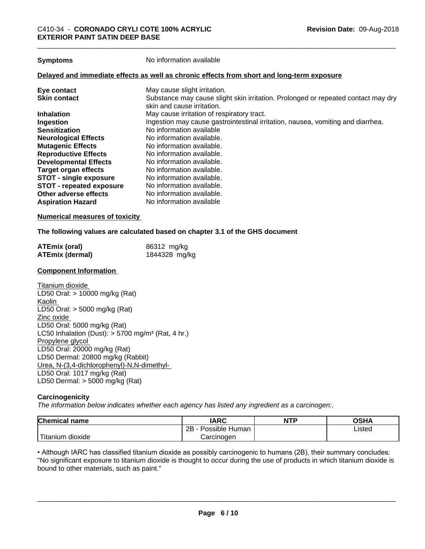**Symptoms** No information available

#### **Delayed and immediate effects as well as chronic effects from short and long-term exposure**

| Eye contact                     | May cause slight irritation.                                                      |
|---------------------------------|-----------------------------------------------------------------------------------|
| <b>Skin contact</b>             | Substance may cause slight skin irritation. Prolonged or repeated contact may dry |
|                                 | skin and cause irritation.                                                        |
| <b>Inhalation</b>               | May cause irritation of respiratory tract.                                        |
| Ingestion                       | Ingestion may cause gastrointestinal irritation, nausea, vomiting and diarrhea.   |
| <b>Sensitization</b>            | No information available                                                          |
| <b>Neurological Effects</b>     | No information available.                                                         |
| <b>Mutagenic Effects</b>        | No information available.                                                         |
| <b>Reproductive Effects</b>     | No information available.                                                         |
| <b>Developmental Effects</b>    | No information available.                                                         |
| Target organ effects            | No information available.                                                         |
| <b>STOT - single exposure</b>   | No information available.                                                         |
| <b>STOT - repeated exposure</b> | No information available.                                                         |
| Other adverse effects           | No information available.                                                         |
| <b>Aspiration Hazard</b>        | No information available                                                          |

#### **Numerical measures of toxicity**

#### **The following values are calculated based on chapter 3.1 of the GHS document**

| <b>ATEmix (oral)</b>   | 86312 mg/kg   |
|------------------------|---------------|
| <b>ATEmix (dermal)</b> | 1844328 mg/kg |

#### **Component Information**

Titanium dioxide LD50 Oral: > 10000 mg/kg (Rat) Kaolin LD50 Oral: > 5000 mg/kg (Rat) Zinc oxide LD50 Oral: 5000 mg/kg (Rat) LC50 Inhalation (Dust):  $> 5700$  mg/m<sup>3</sup> (Rat, 4 hr.) Propylene glycol LD50 Oral: 20000 mg/kg (Rat) LD50 Dermal: 20800 mg/kg (Rabbit) Urea, N-(3,4-dichlorophenyl)-N,N-dimethyl- LD50 Oral: 1017 mg/kg (Rat) LD50 Dermal: > 5000 mg/kg (Rat)

#### **Carcinogenicity**

*The information below indicateswhether each agency has listed any ingredient as a carcinogen:.*

| <b>Chemical</b><br>∣ name | <b>IARC</b>               | <b>NTP</b> | <b>OSHA</b> |
|---------------------------|---------------------------|------------|-------------|
|                           | .<br>2B<br>Possible Human |            | Listed      |
| Titanium dioxide          | Carcinoɑen                |            |             |

• Although IARC has classified titanium dioxide as possibly carcinogenic to humans (2B), their summary concludes: "No significant exposure to titanium dioxide is thought to occur during the use of products in which titanium dioxide is bound to other materials, such as paint."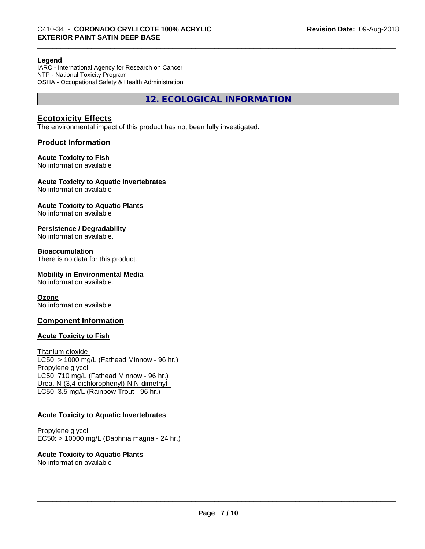#### **Legend**

IARC - International Agency for Research on Cancer NTP - National Toxicity Program OSHA - Occupational Safety & Health Administration

**12. ECOLOGICAL INFORMATION**

### **Ecotoxicity Effects**

The environmental impact of this product has not been fully investigated.

#### **Product Information**

#### **Acute Toxicity to Fish**

No information available

#### **Acute Toxicity to Aquatic Invertebrates**

No information available

## **Acute Toxicity to Aquatic Plants**

No information available

#### **Persistence / Degradability**

No information available.

#### **Bioaccumulation**

There is no data for this product.

#### **Mobility in Environmental Media**

No information available.

#### **Ozone**

No information available

#### **Component Information**

#### **Acute Toxicity to Fish**

Titanium dioxide  $LC50:$  > 1000 mg/L (Fathead Minnow - 96 hr.) Propylene glycol LC50: 710 mg/L (Fathead Minnow - 96 hr.) Urea, N-(3,4-dichlorophenyl)-N,N-dimethyl- LC50: 3.5 mg/L (Rainbow Trout - 96 hr.)

#### **Acute Toxicity to Aquatic Invertebrates**

Propylene glycol EC50: > 10000 mg/L (Daphnia magna - 24 hr.)

#### **Acute Toxicity to Aquatic Plants**

No information available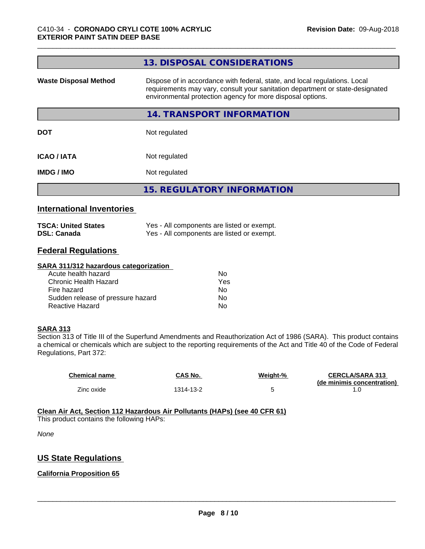| Dispose of in accordance with federal, state, and local regulations. Local<br><b>Waste Disposal Method</b><br>environmental protection agency for more disposal options. | requirements may vary, consult your sanitation department or state-designated |  |
|--------------------------------------------------------------------------------------------------------------------------------------------------------------------------|-------------------------------------------------------------------------------|--|
| 14. TRANSPORT INFORMATION                                                                                                                                                |                                                                               |  |
| <b>DOT</b><br>Not regulated                                                                                                                                              |                                                                               |  |
| <b>ICAO/IATA</b><br>Not regulated                                                                                                                                        |                                                                               |  |
| Not regulated<br>IMDG / IMO                                                                                                                                              |                                                                               |  |
| <b>15. REGULATORY INFORMATION</b>                                                                                                                                        |                                                                               |  |

#### **International Inventories**

| <b>TSCA: United States</b> | Yes - All components are listed or exempt. |
|----------------------------|--------------------------------------------|
| <b>DSL: Canada</b>         | Yes - All components are listed or exempt. |

# **Federal Regulations**

#### **SARA 311/312 hazardous categorization**

| Acute health hazard               | No  |  |
|-----------------------------------|-----|--|
| Chronic Health Hazard             | Yes |  |
| Fire hazard                       | N٥  |  |
| Sudden release of pressure hazard | Nο  |  |
| Reactive Hazard                   | Nο  |  |

#### **SARA 313**

Section 313 of Title III of the Superfund Amendments and Reauthorization Act of 1986 (SARA). This product contains a chemical or chemicals which are subject to the reporting requirements of the Act and Title 40 of the Code of Federal Regulations, Part 372:

| <b>Chemical name</b> | CAS No.   | Weight-% | <b>CERCLA/SARA 313</b>     |
|----------------------|-----------|----------|----------------------------|
|                      |           |          | (de minimis concentration) |
| Zinc oxide           | 1314-13-2 |          |                            |

**Clean Air Act,Section 112 Hazardous Air Pollutants (HAPs) (see 40 CFR 61)** This product contains the following HAPs:

*None*

#### **US State Regulations**

#### **California Proposition 65**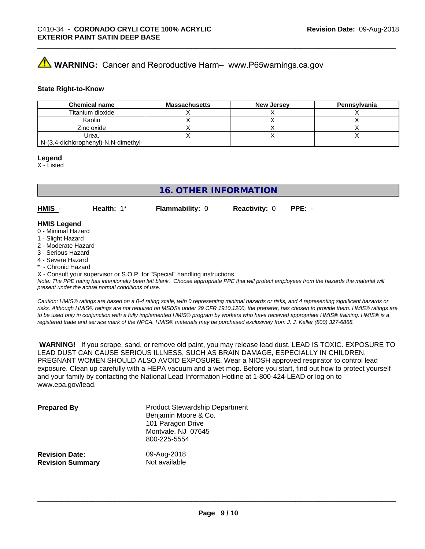# **A** WARNING: Cancer and Reproductive Harm– www.P65warnings.ca.gov

#### **State Right-to-Know**

| <b>Chemical name</b>                 | Massachusetts | <b>New Jersey</b> | Pennsylvania |
|--------------------------------------|---------------|-------------------|--------------|
| Titanium dioxide                     |               |                   |              |
| Kaolin                               |               |                   |              |
| Zinc oxide                           |               |                   |              |
| Urea.                                |               |                   |              |
| N-(3,4-dichlorophenyl)-N,N-dimethyl- |               |                   |              |

#### **Legend**

X - Listed

## **16. OTHER INFORMATION**

**HMIS** - **Health:** 1\* **Flammability:** 0 **Reactivity:** 0 **PPE:** -

### **HMIS Legend**

- 0 Minimal Hazard
- 1 Slight Hazard
- 2 Moderate Hazard
- 3 Serious Hazard
- 4 Severe Hazard
- \* Chronic Hazard

X - Consult your supervisor or S.O.P. for "Special" handling instructions.

*Note: The PPE rating has intentionally been left blank. Choose appropriate PPE that will protect employees from the hazards the material will present under the actual normal conditions of use.*

*Caution: HMISÒ ratings are based on a 0-4 rating scale, with 0 representing minimal hazards or risks, and 4 representing significant hazards or risks. Although HMISÒ ratings are not required on MSDSs under 29 CFR 1910.1200, the preparer, has chosen to provide them. HMISÒ ratings are to be used only in conjunction with a fully implemented HMISÒ program by workers who have received appropriate HMISÒ training. HMISÒ is a registered trade and service mark of the NPCA. HMISÒ materials may be purchased exclusively from J. J. Keller (800) 327-6868.*

 **WARNING!** If you scrape, sand, or remove old paint, you may release lead dust. LEAD IS TOXIC. EXPOSURE TO LEAD DUST CAN CAUSE SERIOUS ILLNESS, SUCH AS BRAIN DAMAGE, ESPECIALLY IN CHILDREN. PREGNANT WOMEN SHOULD ALSO AVOID EXPOSURE.Wear a NIOSH approved respirator to control lead exposure. Clean up carefully with a HEPA vacuum and a wet mop. Before you start, find out how to protect yourself and your family by contacting the National Lead Information Hotline at 1-800-424-LEAD or log on to www.epa.gov/lead.

| <b>Prepared By</b>      | <b>Product Stewardship Department</b><br>Benjamin Moore & Co.<br>101 Paragon Drive<br>Montvale, NJ 07645<br>800-225-5554 |
|-------------------------|--------------------------------------------------------------------------------------------------------------------------|
| <b>Revision Date:</b>   | 09-Aug-2018                                                                                                              |
| <b>Revision Summary</b> | Not available                                                                                                            |